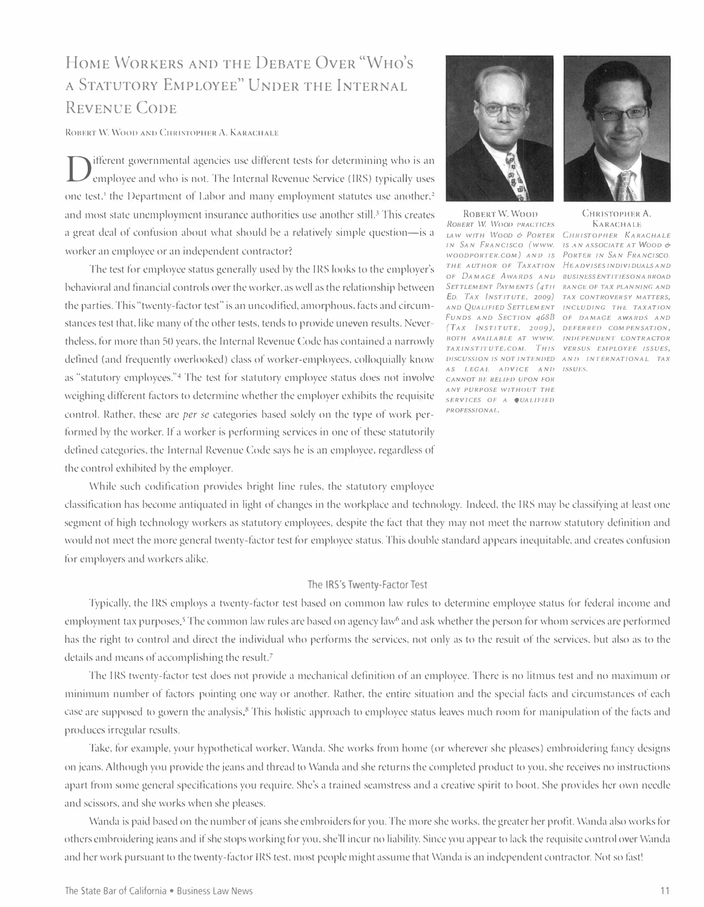# HOME WORKERS AND THE DEBATE OVER "WHO' S A STATUTORY EMPLOYEE" UNDER THE INTERNAL REVENUE CODE

ROBERT W. WOOD AND CHRISTOPHER A. KARACHALE

 $\mathbf D$ ifferent governmental agencies use different tests for determining who is an employee and who is not. The Internal Revenue Service (IRS) typically uses one test,<sup>1</sup> the Department of Labor and many employment statutes use another,<sup>2</sup> and most state unemployment insurance authorities use another still.<sup>3</sup> This creates a great deal of confusion about what should be a relatively simple question-is a worker an employee or an independent contractor?

The test for employee status generally used by the IRS looks to the employer's behavioral and financial controls over the worker, as well as the relationship between the parties. This "twenty-factor test" is an uncodified, amorphous, facts and circumstances test that, like many of the other tests, tends to provide uneven results. Nevertheless, for more than 50 years, the Internal Revenue Code has contained a narrowly defined (and frequently overlooked) class of worker-employees, colloquially know as "statutory employees."4 The test for statutory employee status does not involve weighing different factors to determine whether the employer exhibits the requisite control. Rather, these are *per se* categories based solely on the type of work performed by the worker. If a worker is performing services in one of these statutorily defined categories, the Internal Revenue Code says he is an employee, regardless of the control exhibited by the employer.



ROBERT W. WOOD CHRISTOPHER A. ROBERT W. WOOD PRACTICES KARACHALE LAW WITH WOOD & PORTER CHRISTOPHER KARACHALE IN SAN FRANCISCO (WWW. IS AN ASSOCIATE AT WOOD & WOODPORTER.COM) AND IS PORTER IN SAN FRANCISCO. THE AUTHOR OF TAXATION HEADVISES INDIVIDUALS AND OF DAMAGE AWARDS AND BUSINESS ENTITIES ON A BROAD SETTLEMENT PAYMENTS (4TH RANGE OF TAX PLANNING AND ED. TAX INSTITUTE, 2009) TAX CONTROVERSY MATTERS, AND QUALIFIED SETTLEMENT INCLUDING THE TAXATION FUNDS AND SECTION 468B OF DAMAGE AWARDS AND (TAX INSTITUTE, 2009), DEFERRED COMPENSATION, BOTH AVAILABLE AT WWW. INDEPENDENT CONTRACTOR TAXINSTITUTE.COM. THIS VERSUS EMPLOYEE ISSUES, DISCUSSION IS NOT INTENDED ANI) INTERNATIONAl. TAX AS LEGAL ADVICE AND ISSUES. CANNOT BE RELIED UPON FOR ANY PURPOSE WITHOUT THE SERVICES OF A *QUALIFIED* PROFESSIONAL,



While such codification provides bright line rules, the statutory employee

classification has become antiquated in light of changes in the workplace and technology. Indeed, the IRS may be classifying at least one segment of high technology workers as statutory employees, despite the tact that they may not meet the narrow statutory definition and would not meet the more general twenty-factor test for employee status. This double standard appears inequitable, and creates confusion for employers and workers alike.

#### The IRS's Twenty-Factor Test

Typically, the IRS employs a twenty-factor test based on common law rules to determine employee status for federal income and employment tax purposes.<sup>5</sup> The common law rules are based on agency law<sup>6</sup> and ask whether the person for whom services are performed has the right to control and direct the individual who performs the services, not only as to the result or the services, but also as to the details and means of accomplishing the result.<sup>7</sup>

The IRS twenty-factor test does not provide a mechanical definition of an employee. There is no litmus test and no maximum or minimum number of factors pointing one way or another. Rather, the entire situation and the special facts and circumstances of each case are supposed to govern the analysis.<sup>8</sup> This holistic approach to employee status leaves much room for manipulation of the facts and produces irregular results.

Take, for example, your hypothetical worker, Wanda. She works from home (or wherever she pleases) embroidering fancy designs on jeans. Although you provide the jeans and thread to Wanda and she returns the completed product to you, she receives no instructions apart from some general specifications you require. She's a trained seamstress and a creative spirit to boot. She provides her own needle and scissors, and she works when she pleases.

Wanda is paid based on the number of jeans she embroiders for you. The more she works, the greater her profit. Wanda also works for others embroidering jeans and if she stops working for you, she'll incur no liability. Since you appear to lack the requisite control over Wanda and her work pursuant to the twenty-factor IRS test, most people might assume that Wanda is an independent contractor. Not so fast!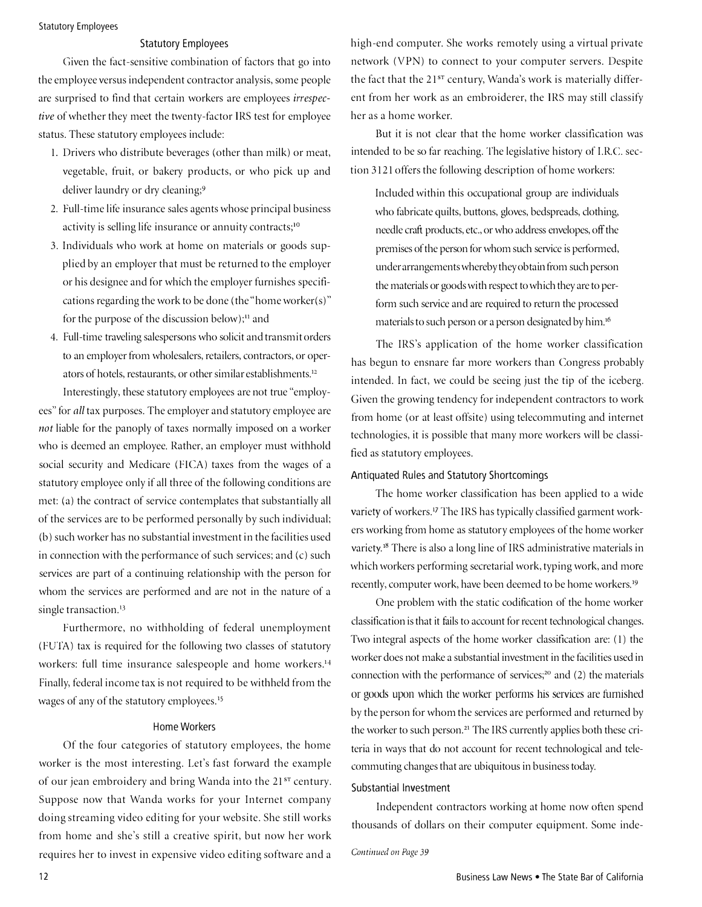# Statutory Employees

# Statutory Employees

Given the fact-sensitive combination of factors that go into the employee versus independent contractor analysis, some people are surprised to find that certain workers are employees irrespective of whether they meet the twenty-factor IRS test for employee status. These statutory employees include:

- 1. Drivers who distribute beverages (other than milk) or meat, vegetable, fruit, or bakery products, or who pick up and deliver laundry or dry cleaning;<sup>9</sup>
- 2. full-time life insurance sales agents whose principal business activity is selling life insurance or annuity contracts;<sup>10</sup>
- 3. Individuals who work at home on materials or goods supplied by an employer that must be returned to the employer or his designee and for which the employer furnishes specifications regarding the work to be done (the "home worker(s)" for the purpose of the discussion below); $\mathbf{u}$  and
- 4. Full-time traveling salespersons who solicit and transmit orders to an employer from wholesalers, retailers, contractors, or operators of hotels, restaurants, or other similar establishments.12

Interestingly, these statutory employees are not true "employees" for all tax purposes. The employer and statutory employee are not liable for the panoply of taxes normally imposed on a worker who is deemed an employee. Rather, an employer must withhold social security and Medicare (flCA) taxes from the wages of a statutory employee only if all three of the following conditions are met: (a) the contract of service contemplates that substantially all of the services are to be performed personally by such individual; (b) such worker has no substantial investment in the facilities used in connection with the performance of such services; and (c) such services are part of a continuing relationship with the person for whom the services are performed and are not in the nature of a single transaction.<sup>13</sup>

furthermore, no withholding of federal unemployment (fUTA) tax is required for the following two classes of statutory workers: full time insurance salespeople and home workers.14 Finally, federal income tax is not required to be withheld from the wages of any of the statutory employees.<sup>15</sup>

# Home Workers

Of the four categories of statutory employees, the home worker is the most interesting. Let's fast forward the example of our jean embroidery and bring Wanda into the 21<sup>st</sup> century. Suppose now that Wanda works for your Internet company doing streaming video editing for your website. She still works from home and she's still a creative spirit, but now her work requires her to invest in expensive video editing software and a

high-end computer. She works remotely using a virtual private network (VPN) to connect to your computer servers. Despite the fact that the 21st century, Wanda's work is materially different from her work as an embroiderer, the IRS may still classify her as a home worker.

But it is not clear that the home worker classification was intended to be so far reaching. The legislative history of I.R.C. section 3121 offers the following description of home workers:

Included within this occupational group are individuals who fabricate quilts, buttons, gloves, bedspreads, clothing, needle craft products, etc., or who address envelopes, off the premises of the person for whom such service is performed, under arrangements whereby they obtain from such person the materials or goods with respect to which they are to perform such service and are required to return the processed materials to such person or a person designated by him.<sup>16</sup>

The IRS's application of the home worker classification has begun to ensnare far more workers than Congress probably intended. In fact, we could be seeing just the tip of the iceberg. Given the growing tendency for independent contractors to work from home (or at least offsite) using telecommuting and internet technologies, it is possible that many more workers will be classitied as statutory employees.

# Antiquated Rules and Statutory Shortcomings

The home worker classification has been applied to a wide variety of workers.<sup>17</sup> The IRS has typically classified garment workers working from home as statutory employees of the home worker variety.<sup>18</sup> There is also a long line of IRS administrative materials in which workers performing secretarial work, typing work, and more recently, computer work, have been deemed to be home workers.<sup>19</sup>

One problem with the static codification of the home worker classification is that it fails to account for recent technological changes. Two integral aspects of the home worker classification are: (1) the worker does not make a substantial investment in the facilities used in connection with the performance of services;<sup>20</sup> and (2) the materials or goods upon which the worker performs his services are furnished by the person for whom the services are performed and returned by the worker to such person.<sup>21</sup> The IRS currently applies both these criteria in ways that do not account for recent technological and telecommuting changes that are ubiquitous in business today.

# Substantial Investment

Independent contractors working at home now often spend thousands of dollars on their computer equipment. Some inde-

Continued on Page 39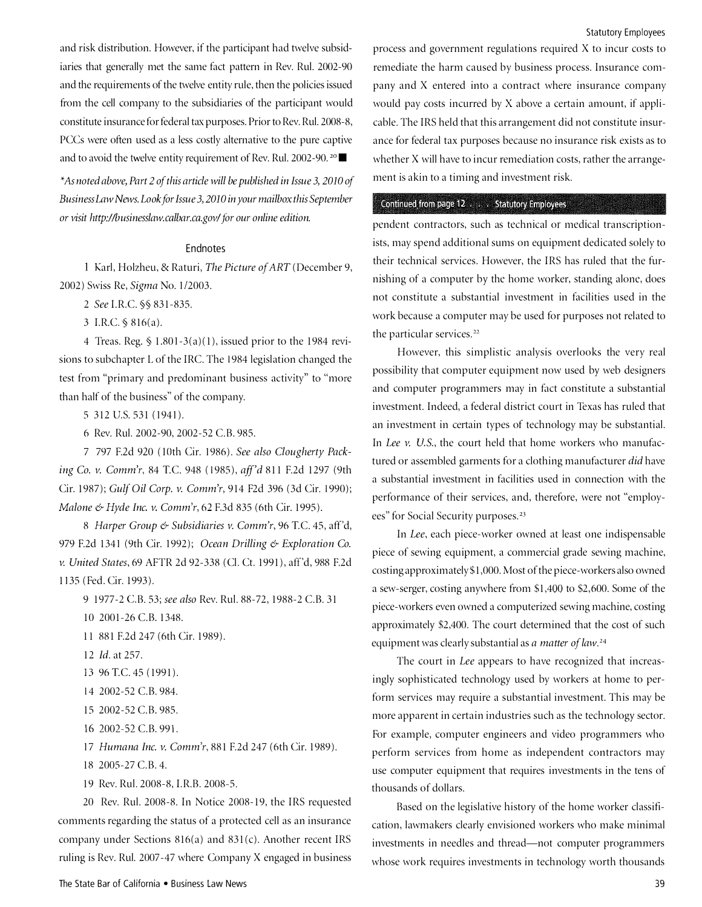and risk distribution. However, if the participant had twelve subsidiaries that generally met the same fact pattern in Rev. Rul. 2002-90 and the requirements of the twelve entity rule, then the policies issued from the cell company to the subsidiaries of the participant would constitute insurance for federal tax purposes. Prior to Rev. Rul. 2008-8, PCCs were often used as a less costly alternative to the pure captive and to avoid the twelve entity requirement of Rev. Rul. 2002-90.<sup>20</sup>

"As noted above, Part 2 of this article will be published in Issue 3, 2010 of Business Law News. Look for Issue 3, 2010 in your mailbox this September or visit http://businesslaw.calbar.ca.gov/for our online edition.

### **Endnotes**

1 Karl, Holzheu, & Raturi, The Picture of ART (December 9, 2002) Swiss Re, Sigma No. 1/2003.

2 See I.R.C. §§ 831-835.

3 I.R.C.§ 816(a).

4 Treas. Reg. § 1.801-3(a)(1), issued prior to the 1984 revisions to subchapter L of the IRC. The 1984 legislation changed the test from "primary and predominant business activity" to "more than half of the business" of the company.

5 312 U.S. 531 (1941).

6 Rev. Rul. 2002-90, 2002-52 C.B. 985.

7 797 F.2d 920 (lOth Cir. 1986). See also Clougherty Packing Co. v. Comm'r, 84 T.C. 948 (1985), aff'd 811 F.2d 1297 (9th Cir. 1987); Gulf Oil Corp. v. Comm'r, 914 F2d 396 (3d Cir. 1990); Malone & Hyde Inc. v. Comm'r, 62 F.3d 835 (6th Cir. 1995).

8 Harper Group & Subsidiaries v. Comm'r, 96 T.C. 45, aff'd, 979 F.2d 1341 (9th Cir. 1992); Ocean Drilling & Exploration Co. v. United States, 69 AFTR 2d 92-338 (Cl. Ct. 1991), aff'd, 988 F.2d 1135 (Fed. Cir. 1993).

9 1977-2 C.B. 53; see also Rev. Rul. 88-72, 1988-2 C.B. 31

10 2001-26 C.B. 1348.

11 881 F.2d 247 (6th Cir. 1989).

- 12 Id. at 257.
- 13 96 TC 45 (1991).
- 14 2002-52 C.B. 984.
- 15 2002-52 C.B. 985.
- 16 2002-52 C.B. 991.

17 Humana Inc. v. Comm'r, 881 F.2d 247 (6th Cir. 1989).

- 18 2005-27 C.B. 4.
- 19 Rev. Rul. 2008-8, I.R.B. 2008-5.

20 Rev. Rul. 2008-8. In Notice 2008-19, the IRS requested comments regarding the status of a protected cell as an insurance company under Sections 816(a) and 831(c). Another recent IRS ruling is Rev. Rul. 2007 -47 where Company X engaged in business '

process and government regulations required X to incur costs to remediate the harm caused by business process. Insurance company and X entered into a contract where insurance company would pay costs incurred by X above a certain amount, if applicable. The IRS held that this arrangement did not constitute insurance for federal tax purposes because no insurance risk exists as to whether X will have to incur remediation costs, rather the arrangement is akin to a timing and investment risk.

#### Continued from page 12 . . . . Statutory Employees . ,

pendent contractors, such as technical or medical transcriptionists, may spend additional sums on equipment dedicated solely to their technical services. However, the IRS has ruled that the furnishing of a computer by the home worker, standing alone, does not constitute a substantial investment in facilities used in the work because a computer may be used for purposes not related to the particular services.<sup>22</sup>

However, this simplistic analysis overlooks the very real possibility that computer equipment now used by web designers and computer programmers may in fact constitute a substantial investment. Indeed, a federal district court in Texas has ruled that an investment in certain types of technology may be substantial. In Lee v. U.S., the court held that home workers who manufactured or assembled garments for a clothing manufacturer did have a substantial investment in facilities used in connection with the performance of their services, and, therefore, were not "employees" for Social Security purposes.<sup>23</sup>

In Lee, each piece-worker owned at least one indispensable piece of sewing equipment, a commercial grade sewing machine, costing approximately \$1 ,000. Most of the piece-workers also owned a sew-serger, costing anywhere from \$1,400 to \$2,600. Some of the piece-workers even owned a computerized sewing machine, costing approximately \$2,400. The court determined that the cost of such equipment was clearly substantial as a matter of law.<sup>24</sup>

The court in Lee appears to have recognized that increasingly sophisticated technology used by workers at home to perform services may require a substantial investment. This may be more apparent in certain industries such as the technology sector. For example, computer engineers and video programmers who perform services from home as independent contractors may use computer equipment that requires investments in the tens of thousands of dollars.

Based on the legislative history of the home worker classification, lawmakers clearly envisioned workers who make minimal investments in needles and thread-not computer programmers whose work requires investments in technology worth thousands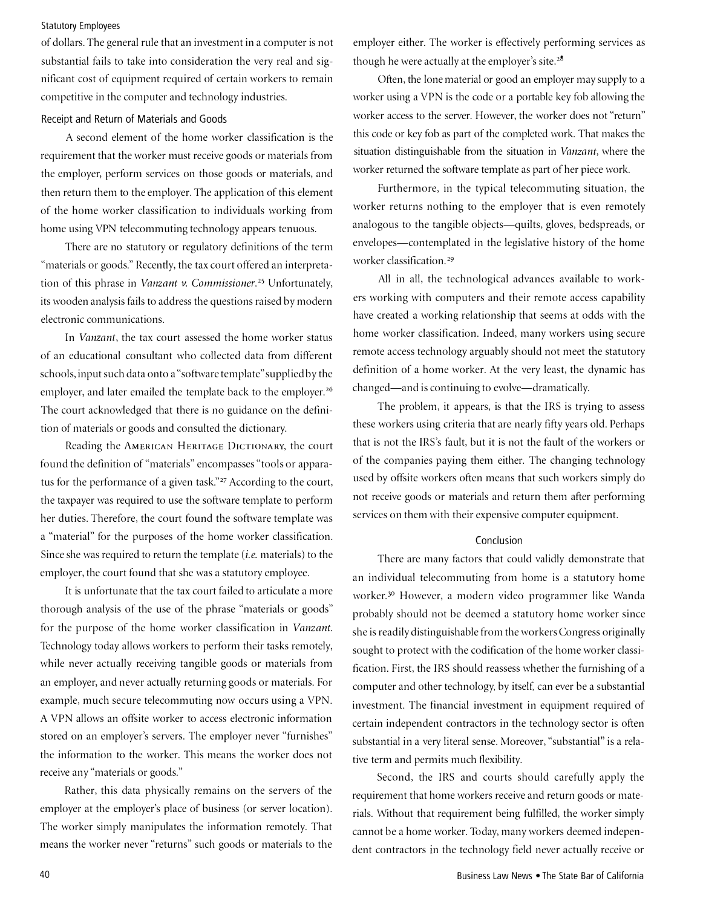# Statutory Employees

of dollars. The general rule that an investment in a computer is not substantial fails to take into consideration the very real and significant cost of equipment required of certain workers to remain competitive in the computer and technology industries.

#### Receipt and Return of Materials and Goods

A second element of the home worker classification is the requirement that the worker must receive goods or materials from the employer, perform services on those goods or materials, and then return them to the employer. The application of this element of the home worker classification to individuals working from home using VPN telecommuting technology appears tenuous.

There are no statutory or regulatory definitions of the term "materials or goods." Recently, the tax court offered an interpretation of this phrase in Vanzant v. Commissioner.<sup>25</sup> Unfortunately, its wooden analysis fails to address the questions raised by modern electronic communications.

In Vanzant, the tax court assessed the home worker status of an educational consultant who collected data from different schools, input such data onto a "software template" supplied by the employer, and later emailed the template back to the employer.<sup>26</sup> The court acknowledged that there is no guidance on the definition of materials or goods and consulted the dictionary.

Reading the AMERICAN HERITAGE DICTIONARY, the court found the definition of "materials" encompasses "tools or apparatus for the performance of a given task."<sup>27</sup> According to the court, the taxpayer was required to use the software template to perform her duties. Therefore, the court found the software template was a "material" for the purposes of the home worker classification. Since she was required to return the template (*i.e.* materials) to the employer, the court found that she was a statutory employee.

It is unfortunate that the tax court failed to articulate a more thorough analysis of the use of the phrase "materials or goods" for the purpose of the home worker classification in Vanzant. Technology today allows workers to perform their tasks remotely, while never actually receiving tangible goods or materials from an employer, and never actually returning goods or materials. For example, much secure telecommuting now occurs using a VPN. A VPN allows an offsite worker to access electronic information stored on an employer's servers. The employer never "furnishes" the information to the worker. This means the worker does not receive any "materials or goods."

Rather, this data physically remains on the servers of the employer at the employer's place of business (or server location). The worker simply manipulates the information remotely. That means the worker never "returns" such goods or materials to the

employer either. The worker is effectively performing services as though he were actually at the employer's site.<sup>28</sup>

Often, the lone material or good an employer may supply to a worker using a VPN is the code or a portable key fob allowing the worker access to the server. However, the worker does not "return" this code or key fob as part of the completed work. That makes the situation distinguishable from the situation in Vanzant, where the worker returned the software template as part of her piece work.

Furthermore, in the typical telecommuting situation, the worker returns nothing to the employer that is even remotely analogous to the tangible objects-quilts, gloves, bedspreads, or envelopes—contemplated in the legislative history of the home worker classification.<sup>29</sup>

All in all, the technological advances available to workers working with computers and their remote access capability have created a working relationship that seems at odds with the home worker classification. Indeed, many workers using secure remote access technology arguably should not meet the statutory definition of a home worker. At the very least, the dynamic has changed—and is continuing to evolve—dramatically.

The problem, it appears, is that the IRS is trying to assess these workers using criteria that are nearly fifty years old. Perhaps that is not the IRS's fault, but it is not the fault of the workers or of the companies paying them either. The changing technology used by offsite workers often means that such workers simply do not receive goods or materials and return them after performing services on them with their expensive computer equipment.

#### Conclusion

There are many factors that could validly demonstrate that an individual telecommuting from home is a statutory home worker.<sup>30</sup> However, a modern video programmer like Wanda probably should not be deemed a statutory home worker since she is readily distinguishable from the workers Congress originally sought to protect with the codification of the home worker classification. First, the IRS should reassess whether the furnishing of a computer and other technology, by itself, can ever be a substantial investment. The financial investment in equipment required of certain independent contractors in the technology sector is often substantial in a very literal sense. Moreover, "substantial" is a relative term and permits much flexibility.

Second, the IRS and courts should carefully apply the requirement that home workers receive and return goods or materials. Without that requirement being fulfilled, the worker simply cannot be a home worker. Today, many workers deemed independent contractors in the technology field never actually receive or